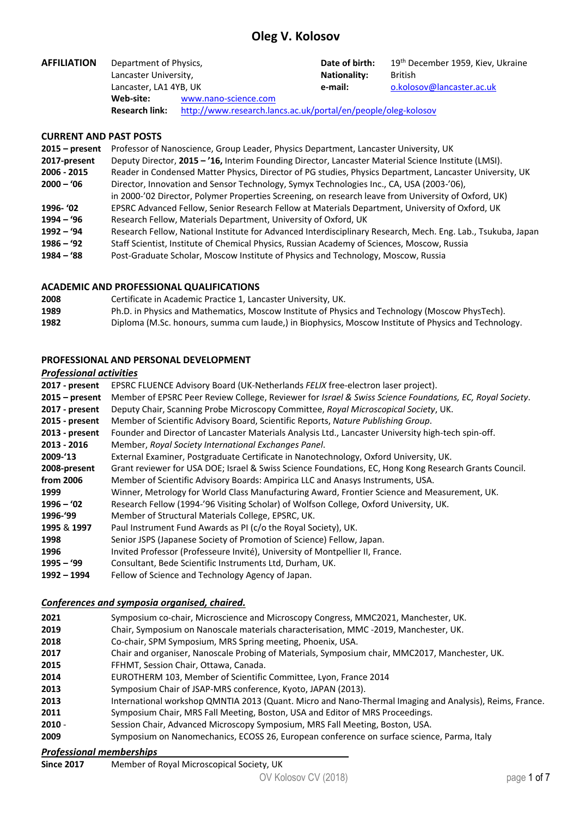# **Oleg V. Kolosov**

| <b>AFFILIATION</b> | Department of Physics,<br>Lancaster University,<br>Lancaster, LA1 4YB, UK              |                      | Date of birth:                 | 19 <sup>th</sup> December 1959, Kiev, Ukraine |  |
|--------------------|----------------------------------------------------------------------------------------|----------------------|--------------------------------|-----------------------------------------------|--|
|                    |                                                                                        |                      | <b>Nationality:</b><br>e-mail: | British                                       |  |
|                    |                                                                                        |                      |                                | o.kolosov@lancaster.ac.uk                     |  |
|                    | Web-site:                                                                              | www.nano-science.com |                                |                                               |  |
|                    | http://www.research.lancs.ac.uk/portal/en/people/oleg-kolosov<br><b>Research link:</b> |                      |                                |                                               |  |

## **CURRENT AND PAST POSTS**

| $2015 - present$ | Professor of Nanoscience, Group Leader, Physics Department, Lancaster University, UK                         |
|------------------|--------------------------------------------------------------------------------------------------------------|
| 2017-present     | Deputy Director, 2015 - '16, Interim Founding Director, Lancaster Material Science Institute (LMSI).         |
| 2006 - 2015      | Reader in Condensed Matter Physics, Director of PG studies, Physics Department, Lancaster University, UK     |
| $2000 - 06$      | Director, Innovation and Sensor Technology, Symyx Technologies Inc., CA, USA (2003-'06),                     |
|                  | in 2000-'02 Director, Polymer Properties Screening, on research leave from University of Oxford, UK)         |
| 1996- '02        | EPSRC Advanced Fellow, Senior Research Fellow at Materials Department, University of Oxford, UK              |
| 1994 – '96       | Research Fellow, Materials Department, University of Oxford, UK                                              |
| $1992 - 94$      | Research Fellow, National Institute for Advanced Interdisciplinary Research, Mech. Eng. Lab., Tsukuba, Japan |
| $1986 - 92$      | Staff Scientist, Institute of Chemical Physics, Russian Academy of Sciences, Moscow, Russia                  |
| $1984 - 88$      | Post-Graduate Scholar, Moscow Institute of Physics and Technology, Moscow, Russia                            |
|                  |                                                                                                              |
|                  |                                                                                                              |

## **ACADEMIC AND PROFESSIONAL QUALIFICATIONS**

| 2008 | Certificate in Academic Practice 1, Lancaster University, UK.                                        |
|------|------------------------------------------------------------------------------------------------------|
| 1989 | Ph.D. in Physics and Mathematics, Moscow Institute of Physics and Technology (Moscow PhysTech).      |
| 1982 | Diploma (M.Sc. honours, summa cum laude,) in Biophysics, Moscow Institute of Physics and Technology. |

## **PROFESSIONAL AND PERSONAL DEVELOPMENT**

# *Professional activities*

| 2017 - present   | EPSRC FLUENCE Advisory Board (UK-Netherlands FELIX free-electron laser project).                         |
|------------------|----------------------------------------------------------------------------------------------------------|
| $2015$ – present | Member of EPSRC Peer Review College, Reviewer for Israel & Swiss Science Foundations, EC, Royal Society. |
| 2017 - present   | Deputy Chair, Scanning Probe Microscopy Committee, Royal Microscopical Society, UK.                      |
| 2015 - present   | Member of Scientific Advisory Board, Scientific Reports, Nature Publishing Group.                        |
| 2013 - present   | Founder and Director of Lancaster Materials Analysis Ltd., Lancaster University high-tech spin-off.      |
| 2013 - 2016      | Member, Royal Society International Exchanges Panel.                                                     |
| 2009-'13         | External Examiner, Postgraduate Certificate in Nanotechnology, Oxford University, UK.                    |
| 2008-present     | Grant reviewer for USA DOE; Israel & Swiss Science Foundations, EC, Hong Kong Research Grants Council.   |
| from 2006        | Member of Scientific Advisory Boards: Ampirica LLC and Anasys Instruments, USA.                          |
| 1999             | Winner, Metrology for World Class Manufacturing Award, Frontier Science and Measurement, UK.             |
| $1996 - 02$      | Research Fellow (1994-'96 Visiting Scholar) of Wolfson College, Oxford University, UK.                   |
| 1996-'99         | Member of Structural Materials College, EPSRC, UK.                                                       |
| 1995 & 1997      | Paul Instrument Fund Awards as PI (c/o the Royal Society), UK.                                           |
| 1998             | Senior JSPS (Japanese Society of Promotion of Science) Fellow, Japan.                                    |
| 1996             | Invited Professor (Professeure Invité), University of Montpellier II, France.                            |
| $1995 - 99$      | Consultant, Bede Scientific Instruments Ltd, Durham, UK.                                                 |
| 1992 - 1994      | Fellow of Science and Technology Agency of Japan.                                                        |
|                  |                                                                                                          |

## *Conferences and symposia organised, chaired.*

| 2021                            | Symposium co-chair, Microscience and Microscopy Congress, MMC2021, Manchester, UK.                      |
|---------------------------------|---------------------------------------------------------------------------------------------------------|
| 2019                            | Chair, Symposium on Nanoscale materials characterisation, MMC -2019, Manchester, UK.                    |
| 2018                            | Co-chair, SPM Symposium, MRS Spring meeting, Phoenix, USA.                                              |
| 2017                            | Chair and organiser, Nanoscale Probing of Materials, Symposium chair, MMC2017, Manchester, UK.          |
| 2015                            | FFHMT, Session Chair, Ottawa, Canada.                                                                   |
| 2014                            | EUROTHERM 103, Member of Scientific Committee, Lyon, France 2014                                        |
| 2013                            | Symposium Chair of JSAP-MRS conference, Kyoto, JAPAN (2013).                                            |
| 2013                            | International workshop QMNTIA 2013 (Quant. Micro and Nano-Thermal Imaging and Analysis), Reims, France. |
| 2011                            | Symposium Chair, MRS Fall Meeting, Boston, USA and Editor of MRS Proceedings.                           |
| $2010 -$                        | Session Chair, Advanced Microscopy Symposium, MRS Fall Meeting, Boston, USA.                            |
| 2009                            | Symposium on Nanomechanics, ECOSS 26, European conference on surface science, Parma, Italy              |
| <b>Professional memberships</b> |                                                                                                         |

| <b>Since 2017</b> | Member of Royal Microscopical Society, UK |  |
|-------------------|-------------------------------------------|--|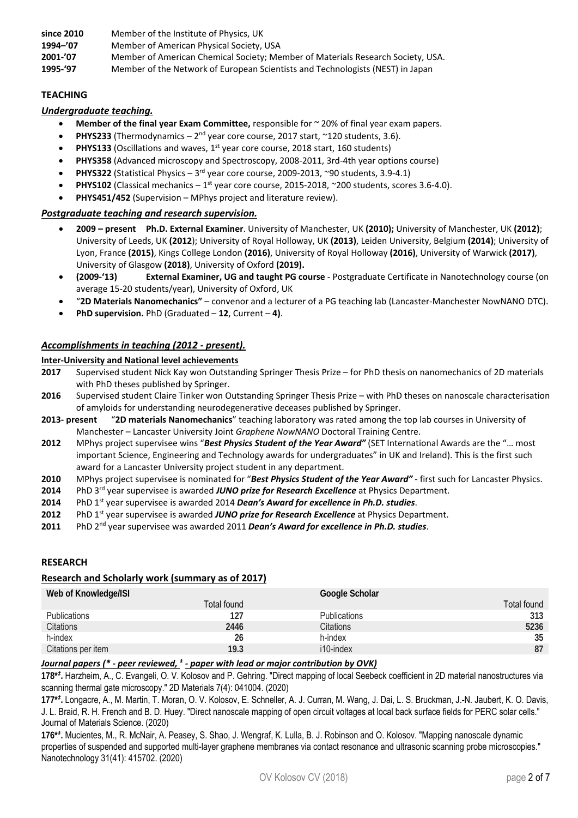since 2010 Member of the Institute of Physics, UK

**1994–'07**  Member of American Physical Society, USA

**2001‐'07** Member of American Chemical Society; Member of Materials Research Society, USA.

**1995‐'97** Member of the Network of European Scientists and Technologists (NEST) in Japan

## **TEACHING**

## *Undergraduate teaching.*

- **Member of the final year Exam Committee,** responsible for ~ 20% of final year exam papers.
- **PHYS233** (Thermodynamics 2<sup>nd</sup> year core course, 2017 start, ~120 students, 3.6).
- **•** PHYS133 (Oscillations and waves, 1<sup>st</sup> year core course, 2018 start, 160 students)
- **PHYS358** (Advanced microscopy and Spectroscopy, 2008‐2011, 3rd‐4th year options course)
- **PHYS322** (Statistical Physics 3<sup>rd</sup> year core course, 2009-2013, ~90 students, 3.9-4.1)
- **PHYS102** (Classical mechanics 1<sup>st</sup> year core course, 2015-2018, ~200 students, scores 3.6-4.0).
- **PHYS451/452** (Supervision MPhys project and literature review).

## *Postgraduate teaching and research supervision.*

- **2009 present Ph.D. External Examiner**. University of Manchester, UK **(2010);** University of Manchester, UK **(2012)**; University of Leeds, UK **(2012**); University of Royal Holloway, UK **(2013)**, Leiden University, Belgium **(2014)**; University of Lyon, France **(2015)**, Kings College London **(2016)**, University of Royal Holloway **(2016)**, University of Warwick **(2017)**, University of Glasgow **(2018)**, University of Oxford **(2019).**
- **(2009‐'13) External Examiner, UG and taught PG course** ‐ Postgraduate Certificate in Nanotechnology course (on average 15‐20 students/year), University of Oxford, UK
- "**2D Materials Nanomechanics"**  convenor and a lecturer of a PG teaching lab (Lancaster‐Manchester NowNANO DTC).
- **PhD supervision.** PhD (Graduated **12**, Current **4)**.

## *Accomplishments in teaching (2012 ‐ present).*

#### **Inter‐University and National level achievements**

- **2017**  Supervised student Nick Kay won Outstanding Springer Thesis Prize for PhD thesis on nanomechanics of 2D materials with PhD theses published by Springer.
- **2016**  Supervised student Claire Tinker won Outstanding Springer Thesis Prize with PhD theses on nanoscale characterisation of amyloids for understanding neurodegenerative deceases published by Springer.
- **2013‐ present**  "**2D materials Nanomechanics**" teaching laboratory was rated among the top lab courses in University of Manchester – Lancaster University Joint *Graphene NowNANO* Doctoral Training Centre.
- **2012** MPhys project supervisee wins "*Best Physics Student of the Year Award"* (SET International Awards are the "… most important Science, Engineering and Technology awards for undergraduates" in UK and Ireland). This is the first such award for a Lancaster University project student in any department.
- **2010** MPhys project supervisee is nominated for "*Best Physics Student of the Year Award"* ‐ first such for Lancaster Physics.
- **2014** PhD 3rd year supervisee is awarded *JUNO prize for Research Excellence* at Physics Department.
- 2014 PhD 1<sup>st</sup> year supervisee is awarded 2014 *Dean's Award for excellence in Ph.D. studies*.
- **2012** PhD 1st year supervisee is awarded *JUNO prize for Research Excellence* at Physics Department.
- **2011** PhD 2nd year supervisee was awarded 2011 *Dean's Award for excellence in Ph.D. studies*.

#### **RESEARCH**

#### **Research and Scholarly work (summary as of 2017)**

| Web of Knowledge/ISI |             | Google Scholar      |             |
|----------------------|-------------|---------------------|-------------|
|                      | Total found |                     | Total found |
| <b>Publications</b>  | 127         | <b>Publications</b> | 313         |
| Citations            | 2446        | Citations           | 5236        |
| h-index              | 26          | h-index             | 35          |
| Citations per item   | 19.3        | i10-index           | 87          |

## *Journal papers (\* - peer reviewed, <sup>‡</sup> - paper with lead or major contribution by OVK)*

**178\****‡* **.** Harzheim, A., C. Evangeli, O. V. Kolosov and P. Gehring. "Direct mapping of local Seebeck coefficient in 2D material nanostructures via scanning thermal gate microscopy." 2D Materials 7(4): 041004. (2020)

**177\****‡* **.** Longacre, A., M. Martin, T. Moran, O. V. Kolosov, E. Schneller, A. J. Curran, M. Wang, J. Dai, L. S. Bruckman, J.-N. Jaubert, K. O. Davis, J. L. Braid, R. H. French and B. D. Huey. "Direct nanoscale mapping of open circuit voltages at local back surface fields for PERC solar cells." Journal of Materials Science. (2020)

**176\****‡* **.** Mucientes, M., R. McNair, A. Peasey, S. Shao, J. Wengraf, K. Lulla, B. J. Robinson and O. Kolosov. "Mapping nanoscale dynamic properties of suspended and supported multi-layer graphene membranes via contact resonance and ultrasonic scanning probe microscopies." Nanotechnology 31(41): 415702. (2020)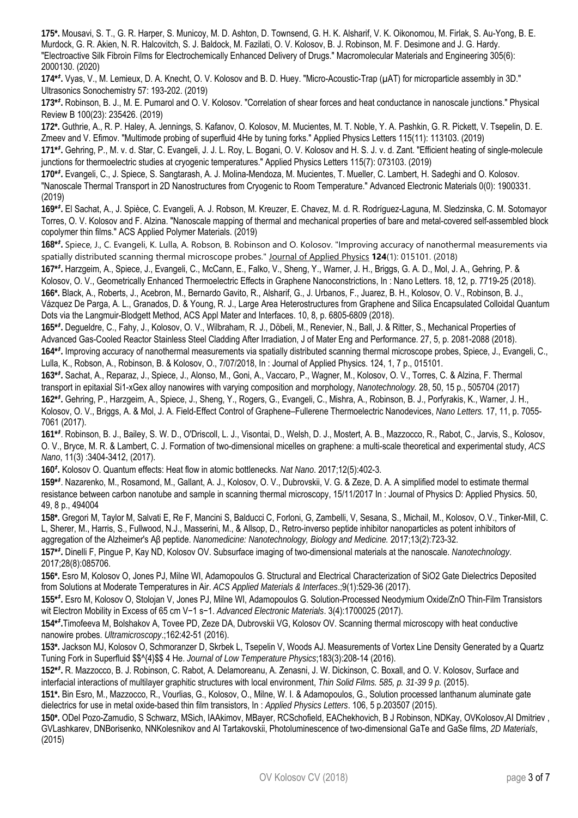**175\*.** Mousavi, S. T., G. R. Harper, S. Municoy, M. D. Ashton, D. Townsend, G. H. K. Alsharif, V. K. Oikonomou, M. Firlak, S. Au-Yong, B. E. Murdock, G. R. Akien, N. R. Halcovitch, S. J. Baldock, M. Fazilati, O. V. Kolosov, B. J. Robinson, M. F. Desimone and J. G. Hardy. "Electroactive Silk Fibroin Films for Electrochemically Enhanced Delivery of Drugs." Macromolecular Materials and Engineering 305(6): 2000130. (2020)

**174\****‡* **.** Vyas, V., M. Lemieux, D. A. Knecht, O. V. Kolosov and B. D. Huey. "Micro-Acoustic-Trap (µAT) for microparticle assembly in 3D." Ultrasonics Sonochemistry 57: 193-202. (2019)

**173\****‡* **.** Robinson, B. J., M. E. Pumarol and O. V. Kolosov. "Correlation of shear forces and heat conductance in nanoscale junctions." Physical Review B 100(23): 235426. (2019)

**172\*.** Guthrie, A., R. P. Haley, A. Jennings, S. Kafanov, O. Kolosov, M. Mucientes, M. T. Noble, Y. A. Pashkin, G. R. Pickett, V. Tsepelin, D. E. Zmeev and V. Efimov. "Multimode probing of superfluid 4He by tuning forks." Applied Physics Letters 115(11): 113103. (2019)

**171\****‡* **.** Gehring, P., M. v. d. Star, C. Evangeli, J. J. L. Roy, L. Bogani, O. V. Kolosov and H. S. J. v. d. Zant. "Efficient heating of single-molecule junctions for thermoelectric studies at cryogenic temperatures." Applied Physics Letters 115(7): 073103. (2019)

**170\****‡* **.** Evangeli, C., J. Spiece, S. Sangtarash, A. J. Molina-Mendoza, M. Mucientes, T. Mueller, C. Lambert, H. Sadeghi and O. Kolosov. "Nanoscale Thermal Transport in 2D Nanostructures from Cryogenic to Room Temperature." Advanced Electronic Materials 0(0): 1900331. (2019)

**169\****‡* **.** El Sachat, A., J. Spièce, C. Evangeli, A. J. Robson, M. Kreuzer, E. Chavez, M. d. R. Rodríguez-Laguna, M. Sledzinska, C. M. Sotomayor Torres, O. V. Kolosov and F. Alzina. "Nanoscale mapping of thermal and mechanical properties of bare and metal-covered self-assembled block copolymer thin films." ACS Applied Polymer Materials. (2019)

**168\****‡* **.** Spiece, J., C. Evangeli, K. Lulla, A. Robson, B. Robinson and O. Kolosov. "Improving accuracy of nanothermal measurements via spatially distributed scanning thermal microscope probes." Journal of Applied Physics **124**(1): 015101. (2018)

**167\****‡* **.** Harzgeim, A., Spiece, J., Evangeli, C., McCann, E., Falko, V., Sheng, Y., Warner, J. H., Briggs, G. A. D., Mol, J. A., Gehring, P. & Kolosov, O. V., Geometrically Enhanced Thermoelectric Effects in Graphene Nanoconstrictions, In : Nano Letters. 18, 12, p. 7719-25 (2018). **166\*.** Black, A., Roberts, J., Acebron, M., Bernardo Gavito, R., Alsharif, G., J. Urbanos, F., Juarez, B. H., Kolosov, O. V., Robinson, B. J., Vázquez De Parga, A. L., Granados, D. & Young, R. J., Large Area Heterostructures from Graphene and Silica Encapsulated Colloidal Quantum Dots via the Langmuir-Blodgett Method, ACS Appl Mater and Interfaces. 10, 8, p. 6805-6809 (2018).

**165\****‡* **.** Degueldre, C., Fahy, J., Kolosov, O. V., Wilbraham, R. J., Döbeli, M., Renevier, N., Ball, J. & Ritter, S., Mechanical Properties of Advanced Gas-Cooled Reactor Stainless Steel Cladding After Irradiation, J of Mater Eng and Performance. 27, 5, p. 2081-2088 (2018). **164\****‡* **.** Improving accuracy of nanothermal measurements via spatially distributed scanning thermal microscope probes, Spiece, J., Evangeli, C., Lulla, K., Robson, A., Robinson, B. & Kolosov, O., 7/07/2018, In : Journal of Applied Physics. 124, 1, 7 p., 015101.

**163\****‡* **.** Sachat, A., Reparaz, J., Spiece, J., Alonso, M., Goni, A., Vaccaro, P., Wagner, M., Kolosov, O. V., Torres, C. & Alzina, F. Thermal transport in epitaxial Si1-xGex alloy nanowires with varying composition and morphology, *Nanotechnology.* 28, 50, 15 p., 505704 (2017) **162\****‡* **.** Gehring, P., Harzgeim, A., Spiece, J., Sheng, Y., Rogers, G., Evangeli, C., Mishra, A., Robinson, B. J., Porfyrakis, K., Warner, J. H., Kolosov, O. V., Briggs, A. & Mol, J. A. Field-Effect Control of Graphene–Fullerene Thermoelectric Nanodevices, *Nano Letters.* 17, 11, p. 7055- 7061 (2017).

**161\****‡* . Robinson, B. J., Bailey, S. W. D., O'Driscoll, L. J., Visontai, D., Welsh, D. J., Mostert, A. B., Mazzocco, R., Rabot, C., Jarvis, S., Kolosov, O. V., Bryce, M. R. & Lambert, C. J. Formation of two-dimensional micelles on graphene: a multi-scale theoretical and experimental study, *ACS Nano*, 11(3) :3404-3412, (2017).

**160***‡* **.** Kolosov O. Quantum effects: Heat flow in atomic bottlenecks. *Nat Nano*. 2017;12(5):402-3.

**159\****‡* . Nazarenko, M., Rosamond, M., Gallant, A. J., Kolosov, O. V., Dubrovskii, V. G. & Zeze, D. A. A simplified model to estimate thermal resistance between carbon nanotube and sample in scanning thermal microscopy, 15/11/2017 In : Journal of Physics D: Applied Physics. 50, 49, 8 p., 494004

**158\*.** Gregori M, Taylor M, Salvati E, Re F, Mancini S, Balducci C, Forloni, G, Zambelli, V, Sesana, S., Michail, M., Kolosov, O.V., Tinker-Mill, C. L, Sherer, M., Harris, S., Fullwood, N.J., Masserini, M., & Allsop, D., Retro-inverso peptide inhibitor nanoparticles as potent inhibitors of aggregation of the Alzheimer's Aβ peptide. *Nanomedicine: Nanotechnology, Biology and Medicine.* 2017;13(2):723-32.

**157\****‡* **.** Dinelli F, Pingue P, Kay ND, Kolosov OV. Subsurface imaging of two-dimensional materials at the nanoscale. *Nanotechnology*. 2017;28(8):085706.

**156\*.** Esro M, Kolosov O, Jones PJ, Milne WI, Adamopoulos G. Structural and Electrical Characterization of SiO2 Gate Dielectrics Deposited from Solutions at Moderate Temperatures in Air. *ACS Applied Materials & Interfaces*.;9(1):529-36 (2017).

**155\****‡* **.** Esro M, Kolosov O, Stolojan V, Jones PJ, Milne WI, Adamopoulos G. Solution-Processed Neodymium Oxide/ZnO Thin-Film Transistors wit Electron Mobility in Excess of 65 cm V−1 s−1. *Advanced Electronic Materials*. 3(4):1700025 (2017).

**154\****‡* **.**Timofeeva M, Bolshakov A, Tovee PD, Zeze DA, Dubrovskii VG, Kolosov OV. Scanning thermal microscopy with heat conductive nanowire probes. *Ultramicroscopy*.;162:42-51 (2016).

**153\*.** Jackson MJ, Kolosov O, Schmoranzer D, Skrbek L, Tsepelin V, Woods AJ. Measurements of Vortex Line Density Generated by a Quartz Tuning Fork in Superfluid \$\$^{4}\$\$ 4 He. *Journal of Low Temperature Physics*;183(3):208-14 (2016).

**152\****‡* **.** R. Mazzocco, B. J. Robinson, C. Rabot, A. Delamoreanu, A. Zenasni, J. W. Dickinson, C. Boxall, and O. V. Kolosov, Surface and interfacial interactions of multilayer graphitic structures with local environment, *Thin Solid Films. 585, p. 31-39 9 p.* (2015).

**151\*.** Bin Esro, M., Mazzocco, R., Vourlias, G., Kolosov, O., Milne, W. I. & Adamopoulos, G., Solution processed lanthanum aluminate gate dielectrics for use in metal oxide-based thin film transistors, In : *Applied Physics Letters*. 106, 5 p.203507 (2015).

**150\*.** ODel Pozo-Zamudio, S Schwarz, MSich, IAAkimov, MBayer, RCSchofield, EAChekhovich, B J Robinson, NDKay, OVKolosov,AI Dmitriev , GVLashkarev, DNBorisenko, NNKolesnikov and AI Tartakovskii, Photoluminescence of two-dimensional GaTe and GaSe films, *2D Materials*, (2015)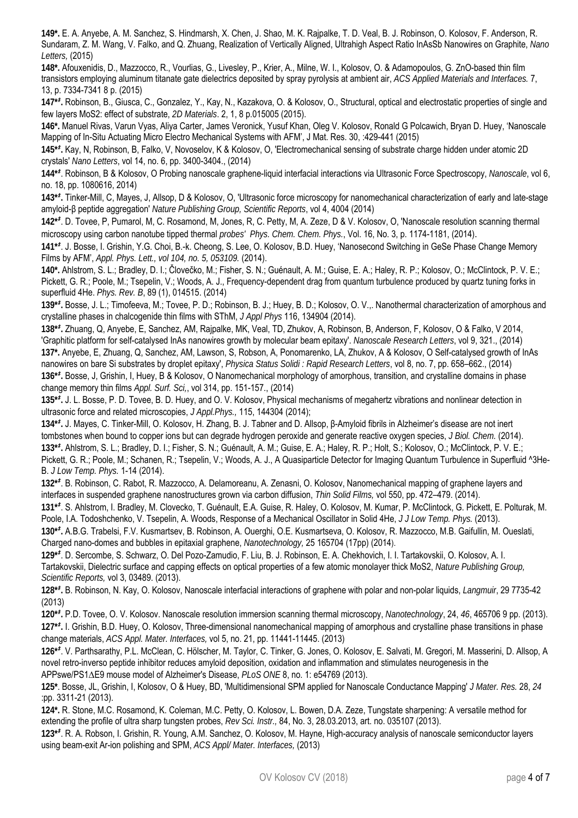**149\*.** E. A. Anyebe, A. M. Sanchez, S. Hindmarsh, X. Chen, J. Shao, M. K. Rajpalke, T. D. Veal, B. J. Robinson, O. Kolosov, F. Anderson, R. Sundaram, Z. M. Wang, V. Falko, and Q. Zhuang, Realization of Vertically Aligned, Ultrahigh Aspect Ratio InAsSb Nanowires on Graphite, *Nano Letters,* (2015)

**148\*.** Afouxenidis, D., Mazzocco, R., Vourlias, G., Livesley, P., Krier, A., Milne, W. I., Kolosov, O. & Adamopoulos, G. ZnO-based thin film transistors employing aluminum titanate gate dielectrics deposited by spray pyrolysis at ambient air, *ACS Applied Materials and Interfaces.* 7, 13, p. 7334-7341 8 p. (2015)

**147\****‡* **.** Robinson, B., Giusca, C., Gonzalez, Y., Kay, N., Kazakova, O. & Kolosov, O., Structural, optical and electrostatic properties of single and few layers MoS2: effect of substrate, *2D Materials*. 2, 1, 8 p.015005 (2015).

**146\*.** Manuel Rivas, Varun Vyas, Aliya Carter, James Veronick, Yusuf Khan, Oleg V. Kolosov, Ronald G Polcawich, Bryan D. Huey, 'Nanoscale Mapping of In-Situ Actuating Micro Electro Mechanical Systems with AFM', J Mat. Res. 30, :429-441 (2015)

**145\****‡* **.** Kay, N, Robinson, B, Falko, V, Novoselov, K & Kolosov, O, 'Electromechanical sensing of substrate charge hidden under atomic 2D crystals' *Nano Letters*, vol 14, no. 6, pp. 3400-3404., (2014)

**144\****‡* . Robinson, B & Kolosov, O Probing nanoscale graphene-liquid interfacial interactions via Ultrasonic Force Spectroscopy, *Nanoscale*, vol 6, no. 18, pp. 1080616, 2014)

**143\****‡* **.** Tinker-Mill, C, Mayes, J, Allsop, D & Kolosov, O, 'Ultrasonic force microscopy for nanomechanical characterization of early and late-stage amyloid-β peptide aggregation' *Nature Publishing Group, Scientific Reports*, vol 4, 4004 (2014)

**142\****‡* . D. Tovee, P, Pumarol, M, C. Rosamond, M, Jones, R, C. Petty, M, A. Zeze, D & V. Kolosov, O, 'Nanoscale resolution scanning thermal microscopy using carbon nanotube tipped thermal *probes' Phys. Chem. Chem. Phys.*, Vol. 16, No. 3, p. 1174-1181, (2014).

**141\****‡* . J. Bosse, I. Grishin, Y.G. Choi, B.-k. Cheong, S. Lee, O. Kolosov, B.D. Huey, 'Nanosecond Switching in GeSe Phase Change Memory Films by AFM', *Appl. Phys. Lett., vol 104, no. 5, 053109.* (2014).

**140\*.** Ahlstrom, S. L.; Bradley, D. I.; Človečko, M.; Fisher, S. N.; Guénault, A. M.; Guise, E. A.; Haley, R. P.; Kolosov, O.; McClintock, P. V. E.; Pickett, G. R.; Poole, M.; Tsepelin, V.; Woods, A. J., Frequency-dependent drag from quantum turbulence produced by quartz tuning forks in superfluid 4He. *Phys. Rev. B*, 89 (1), 014515. (2014)

**139\****‡* **.** Bosse, J. L.; Timofeeva, M.; Tovee, P. D.; Robinson, B. J.; Huey, B. D.; Kolosov, O. V.,. Nanothermal characterization of amorphous and crystalline phases in chalcogenide thin films with SThM, *J Appl Phys* 116, 134904 (2014).

**138\****‡* **.** Zhuang, Q, Anyebe, E, Sanchez, AM, Rajpalke, MK, Veal, TD, Zhukov, A, Robinson, B, Anderson, F, Kolosov, O & Falko, V 2014, 'Graphitic platform for self-catalysed InAs nanowires growth by molecular beam epitaxy'. *Nanoscale Research Letters*, vol 9, 321., (2014) **137\*.** Anyebe, E, Zhuang, Q, Sanchez, AM, Lawson, S, Robson, A, Ponomarenko, LA, Zhukov, A & Kolosov, O Self-catalysed growth of InAs nanowires on bare Si substrates by droplet epitaxy', *Physica Status Solidi : Rapid Research Letters*, vol 8, no. 7, pp. 658–662., (2014) **136\****‡* **.** Bosse, J, Grishin, I, Huey, B & Kolosov, O Nanomechanical morphology of amorphous, transition, and crystalline domains in phase change memory thin films *Appl. Surf. Sci,*, vol 314, pp. 151-157., (2014)

**135\****‡* **.** J. L. Bosse, P. D. Tovee, B. D. Huey, and O. V. Kolosov, Physical mechanisms of megahertz vibrations and nonlinear detection in ultrasonic force and related microscopies, *J Appl.Phys.,* 115, 144304 (2014);

**134\****‡* **.** J. Mayes, C. Tinker-Mill, O. Kolosov, H. Zhang, B. J. Tabner and D. Allsop, β-Amyloid fibrils in Alzheimer's disease are not inert tombstones when bound to copper ions but can degrade hydrogen peroxide and generate reactive oxygen species, *J Biol. Chem.* (2014). **133\****‡* **.** Ahlstrom, S. L.; Bradley, D. I.; Fisher, S. N.; Guénault, A. M.; Guise, E. A.; Haley, R. P.; Holt, S.; Kolosov, O.; McClintock, P. V. E.; Pickett, G. R.; Poole, M.; Schanen, R.; Tsepelin, V.; Woods, A. J., A Quasiparticle Detector for Imaging Quantum Turbulence in Superfluid ^3He-B. *J Low Temp. Phys.* 1-14 (2014).

**132\****‡* . B. Robinson, C. Rabot, R. Mazzocco, A. Delamoreanu, A. Zenasni, O. Kolosov, Nanomechanical mapping of graphene layers and interfaces in suspended graphene nanostructures grown via carbon diffusion, *Thin Solid Films,* vol 550, pp. 472–479. (2014).

**131\****‡* . S. Ahlstrom, I. Bradley, M. Clovecko, T. Guénault, E.A. Guise, R. Haley, O. Kolosov, M. Kumar, P. McClintock, G. Pickett, E. Polturak, M. Poole, I.A. Todoshchenko, V. Tsepelin, A. Woods, Response of a Mechanical Oscillator in Solid 4He, *J J Low Temp. Phys.* (2013).

**130\****‡* **.** A.B.G. Trabelsi, F.V. Kusmartsev, B. Robinson, A. Ouerghi, O.E. Kusmartseva, O. Kolosov, R. Mazzocco, M.B. Gaifullin, M. Oueslati, Charged nano-domes and bubbles in epitaxial graphene, *Nanotechnology,* 25 165704 (17pp) (2014).

**129\****‡* . D. Sercombe, S. Schwarz, O. Del Pozo-Zamudio, F. Liu, B. J. Robinson, E. A. Chekhovich, I. I. Tartakovskii, O. Kolosov, A. I. Tartakovskii, Dielectric surface and capping effects on optical properties of a few atomic monolayer thick MoS2, *Nature Publishing Group, Scientific Reports,* vol 3, 03489. (2013).

**128\****‡* **.** B. Robinson, N. Kay, O. Kolosov, Nanoscale interfacial interactions of graphene with polar and non-polar liquids, *Langmuir*, 29 7735-42 (2013)

**120\****‡* **.** P.D. Tovee, O. V. Kolosov. Nanoscale resolution immersion scanning thermal microscopy, *Nanotechnology*, 24, *46*, 465706 9 pp. (2013). **127\****‡* **.** I. Grishin, B.D. Huey, O. Kolosov, Three-dimensional nanomechanical mapping of amorphous and crystalline phase transitions in phase change materials, *ACS Appl. Mater. Interfaces,* vol 5, no. 21, pp. 11441-11445. (2013)

**126\****‡* . V. Parthsarathy, P.L. McClean, C. Hölscher, M. Taylor, C. Tinker, G. Jones, O. Kolosov, E. Salvati, M. Gregori, M. Masserini, D. Allsop, A novel retro-inverso peptide inhibitor reduces amyloid deposition, oxidation and inflammation and stimulates neurogenesis in the APPswe/PS1∆E9 mouse model of Alzheimer's Disease, *PLoS ONE* 8, no. 1: e54769 (2013).

**125\***. Bosse, JL, Grishin, I, Kolosov, O & Huey, BD, 'Multidimensional SPM applied for Nanoscale Conductance Mapping' *J Mater. Res.* 28, *24*  :pp. 3311-21 (2013).

**124\*.** R. Stone, M.C. Rosamond, K. Coleman, M.C. Petty, O. Kolosov, L. Bowen, D.A. Zeze, Tungstate sharpening: A versatile method for extending the profile of ultra sharp tungsten probes, *Rev Sci. Instr.,* 84, No. 3, 28.03.2013, art. no. 035107 (2013).

**123\****‡* . R. A. Robson, I. Grishin, R. Young, A.M. Sanchez, O. Kolosov, M. Hayne, High-accuracy analysis of nanoscale semiconductor layers using beam-exit Ar-ion polishing and SPM, *ACS Appl/ Mater. Interfaces,* (2013)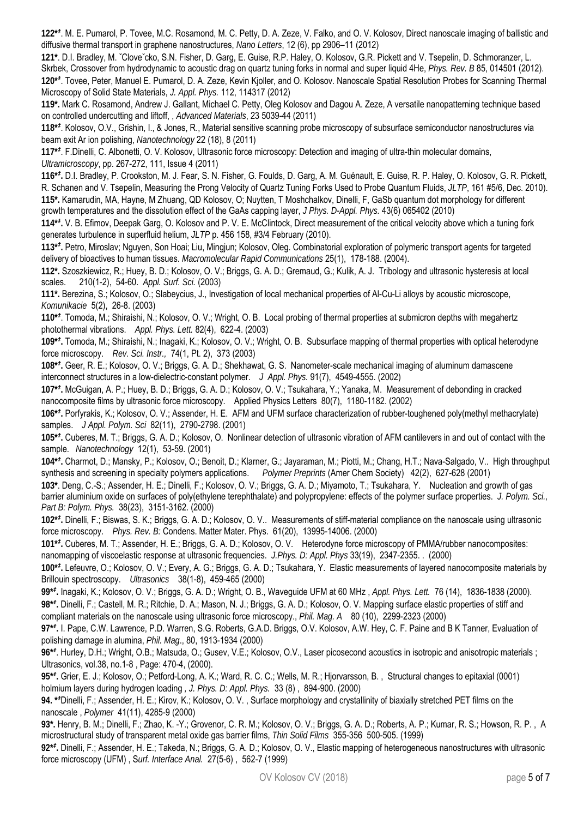**122\****‡* . M. E. Pumarol, P. Tovee, M.C. Rosamond, M. C. Petty, D. A. Zeze, V. Falko, and O. V. Kolosov, Direct nanoscale imaging of ballistic and diffusive thermal transport in graphene nanostructures, *Nano Letters*, 12 (6), pp 2906–11 (2012)

**121\***. D.I. Bradley, M. ˇCloveˇcko, S.N. Fisher, D. Garg, E. Guise, R.P. Haley, O. Kolosov, G.R. Pickett and V. Tsepelin, D. Schmoranzer, L. Skrbek, Crossover from hydrodynamic to acoustic drag on quartz tuning forks in normal and super liquid 4He, *Phys. Rev. B* 85, 014501 (2012). **120\****‡* . Tovee, Peter, Manuel E. Pumarol, D. A. Zeze, Kevin Kjoller, and O. Kolosov. Nanoscale Spatial Resolution Probes for Scanning Thermal Microscopy of Solid State Materials, *J. Appl. Phys.* 112, 114317 (2012)

**119\*.** Mark C. Rosamond, Andrew J. Gallant, Michael C. Petty, Oleg Kolosov and Dagou A. Zeze, A versatile nanopatterning technique based on controlled undercutting and liftoff, , *Advanced Materials*, 23 5039-44 (2011)

**118\****‡* . Kolosov, O.V., Grishin, I., & Jones, R., Material sensitive scanning probe microscopy of subsurface semiconductor nanostructures via beam exit Ar ion polishing, *Nanotechnology* 22 (18), 8 (2011)

**117\****‡* . F.Dinelli, C. Albonetti, O. V. Kolosov, Ultrasonic force microscopy: Detection and imaging of ultra-thin molecular domains, *Ultramicroscopy*, pp. 267-272, 111, Issue 4 (2011)

**116\****‡* **.** D.I. Bradley, P. Crookston, M. J. Fear, S. N. Fisher, G. Foulds, D. Garg, A. M. Guénault, E. Guise, R. P. Haley, O. Kolosov, G. R. Pickett, R. Schanen and V. Tsepelin, Measuring the Prong Velocity of Quartz Tuning Forks Used to Probe Quantum Fluids, *JLTP*, 161 #5/6, Dec. 2010). **115\*.** Kamarudin, MA, Hayne, M Zhuang, QD Kolosov, O; Nuytten, T Moshchalkov, Dinelli, F, GaSb quantum dot morphology for different growth temperatures and the dissolution effect of the GaAs capping layer, *J Phys. D-Appl. Phys.* 43(6) 065402 (2010)

**114\****‡* **.** V. B. Efimov, Deepak Garg, O. Kolosov and P. V. E. McClintock, Direct measurement of the critical velocity above which a tuning fork generates turbulence in superfluid helium, *JLTP* p. 456 158, #3/4 February (2010).

**113\****‡* **.** Petro, Miroslav; Nguyen, Son Hoai; Liu, Mingjun; Kolosov, Oleg. Combinatorial exploration of polymeric transport agents for targeted delivery of bioactives to human tissues. *Macromolecular Rapid Communications* 25(1), 178-188. (2004).

**112\*.** Szoszkiewicz, R.; Huey, B. D.; Kolosov, O. V.; Briggs, G. A. D.; Gremaud, G.; Kulik, A. J. Tribology and ultrasonic hysteresis at local scales. 210(1-2), 54-60. *Appl. Surf. Sci.* (2003)

**111\*.** Berezina, S.; Kolosov, O.; Slabeycius, J., Investigation of local mechanical properties of Al-Cu-Li alloys by acoustic microscope, *Komunikacie* 5(2), 26-8. (2003)

**110\****‡* . Tomoda, M.; Shiraishi, N.; Kolosov, O. V.; Wright, O. B. Local probing of thermal properties at submicron depths with megahertz photothermal vibrations. *Appl. Phys. Lett.* 82(4), 622-4. (2003)

**109\****‡* **.** Tomoda, M.; Shiraishi, N.; Inagaki, K.; Kolosov, O. V.; Wright, O. B. Subsurface mapping of thermal properties with optical heterodyne force microscopy. *Rev. Sci. Instr.,* 74(1, Pt. 2), 373 (2003)

**108\****‡* **.** Geer, R. E.; Kolosov, O. V.; Briggs, G. A. D.; Shekhawat, G. S. Nanometer-scale mechanical imaging of aluminum damascene interconnect structures in a low-dielectric-constant polymer. *J Appl. Phys.* 91(7), 4549-4555. (2002)

**107\****‡* **.** McGuigan, A. P.; Huey, B. D.; Briggs, G. A. D.; Kolosov, O. V.; Tsukahara, Y.; Yanaka, M. Measurement of debonding in cracked nanocomposite films by ultrasonic force microscopy. Applied Physics Letters 80(7), 1180-1182. (2002)

**106\****‡* **.** Porfyrakis, K.; Kolosov, O. V.; Assender, H. E. AFM and UFM surface characterization of rubber-toughened poly(methyl methacrylate) samples. *J Appl. Polym. Sci* 82(11), 2790-2798. (2001)

**105\****‡* **.** Cuberes, M. T.; Briggs, G. A. D.; Kolosov, O. Nonlinear detection of ultrasonic vibration of AFM cantilevers in and out of contact with the sample. *Nanotechnology* 12(1), 53-59. (2001)

**104\****‡* **.** Charmot, D.; Mansky, P.; Kolosov, O.; Benoit, D.; Klarner, G.; Jayaraman, M.; Piotti, M.; Chang, H.T.; Nava-Salgado, V.. High throughput synthesis and screening in specialty polymers applications. *Polymer Preprints* (Amer Chem Society) 42(2), 627-628 (2001)

**103\***. Deng, C.-S.; Assender, H. E.; Dinelli, F.; Kolosov, O. V.; Briggs, G. A. D.; Miyamoto, T.; Tsukahara, Y. Nucleation and growth of gas barrier aluminium oxide on surfaces of poly(ethylene terephthalate) and polypropylene: effects of the polymer surface properties. *J. Polym. Sci., Part B: Polym. Phys.* 38(23), 3151-3162. (2000)

**102\****‡* **.** Dinelli, F.; Biswas, S. K.; Briggs, G. A. D.; Kolosov, O. V.. Measurements of stiff-material compliance on the nanoscale using ultrasonic force microscopy. *Phys. Rev. B:* Condens. Matter Mater. Phys. 61(20), 13995-14006. (2000)

**101\****‡* **.** Cuberes, M. T.; Assender, H. E.; Briggs, G. A. D.; Kolosov, O. V. Heterodyne force microscopy of PMMA/rubber nanocomposites: nanomapping of viscoelastic response at ultrasonic frequencies. *J.Phys. D: Appl. Phys* 33(19), 2347-2355. . (2000)

**100\****‡* **.** Lefeuvre, O.; Kolosov, O. V.; Every, A. G.; Briggs, G. A. D.; Tsukahara, Y. Elastic measurements of layered nanocomposite materials by Brillouin spectroscopy. *Ultrasonics* 38(1-8), 459-465 (2000)

**99\****‡* **.** Inagaki, K.; Kolosov, O. V.; Briggs, G. A. D.; Wright, O. B., Waveguide UFM at 60 MHz , *Appl. Phys. Lett.* 76 (14), 1836-1838 (2000).

**98\****‡* **.** Dinelli, F.; Castell, M. R.; Ritchie, D. A.; Mason, N. J.; Briggs, G. A. D.; Kolosov, O. V. Mapping surface elastic properties of stiff and compliant materials on the nanoscale using ultrasonic force microscopy., *Phil. Mag. A* 80 (10), 2299-2323 (2000)

**97\****‡* **.** I. Pape, C.W. Lawrence, P.D. Warren, S.G. Roberts, G.A.D. Briggs, O.V. Kolosov, A.W. Hey, C. F. Paine and B K Tanner, Evaluation of polishing damage in alumina, *Phil. Mag*., 80, 1913-1934 (2000)

**96\****‡* . Hurley, D.H.; Wright, O.B.; Matsuda, O.; Gusev, V.E.; Kolosov, O.V., Laser picosecond acoustics in isotropic and anisotropic materials ; Ultrasonics, vol.38, no.1-8 , Page: 470-4, (2000).

**95\****‡* **.** Grier, E. J.; Kolosov, O.; Petford-Long, A. K.; Ward, R. C. C.; Wells, M. R.; Hjorvarsson, B. , Structural changes to epitaxial (0001) holmium layers during hydrogen loading *, J. Phys. D: Appl. Phys.* 33 (8) , 894-900. (2000)

**94. \****‡* Dinelli, F.; Assender, H. E.; Kirov, K.; Kolosov, O. V. , Surface morphology and crystallinity of biaxially stretched PET films on the nanoscale , *Polymer* 41(11), 4285-9 (2000)

**93\*.** Henry, B. M.; Dinelli, F.; Zhao, K. -Y.; Grovenor, C. R. M.; Kolosov, O. V.; Briggs, G. A. D.; Roberts, A. P.; Kumar, R. S.; Howson, R. P. , A microstructural study of transparent metal oxide gas barrier films, *Thin Solid Films* 355-356 500-505. (1999)

**92\****‡* **.** Dinelli, F.; Assender, H. E.; Takeda, N.; Briggs, G. A. D.; Kolosov, O. V., Elastic mapping of heterogeneous nanostructures with ultrasonic force microscopy (UFM) , S*urf. Interface Anal.* 27(5-6) , 562-7 (1999)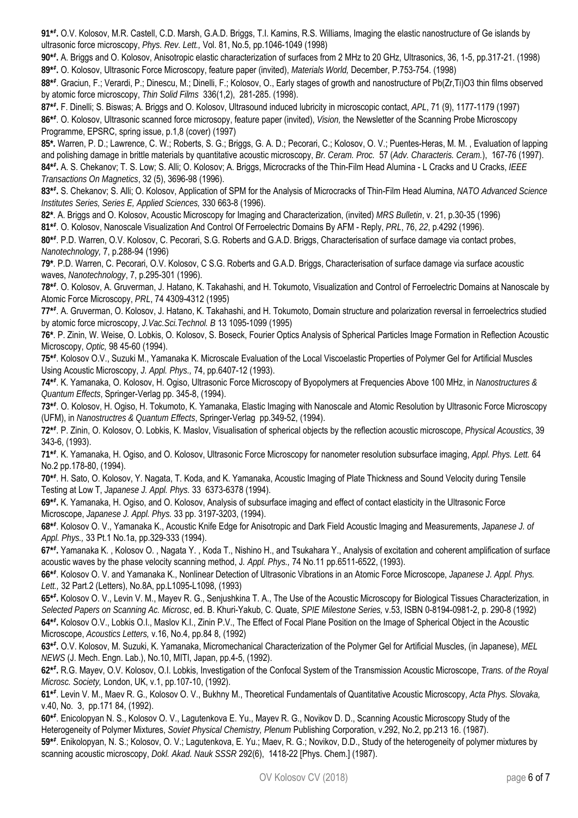**91\****‡* **.** O.V. Kolosov, M.R. Castell, C.D. Marsh, G.A.D. Briggs, T.I. Kamins, R.S. Williams, Imaging the elastic nanostructure of Ge islands by ultrasonic force microscopy, *Phys. Rev. Lett.,* Vol. 81, No.5, pp.1046-1049 (1998)

**90\****‡* **.** A. Briggs and O. Kolosov, Anisotropic elastic characterization of surfaces from 2 MHz to 20 GHz, Ultrasonics, 36, 1-5, pp.317-21. (1998) **89\****‡* **.** O. Kolosov, Ultrasonic Force Microscopy, feature paper (invited), *Materials World,* December, P.753-754. (1998)

**88\****‡* . Graciun, F.; Verardi, P.; Dinescu, M.; Dinelli, F.; Kolosov, O., Early stages of growth and nanostructure of Pb(Zr,Ti)O3 thin films observed by atomic force microscopy, *Thin Solid Films* 336(1,2), 281-285. (1998).

**87\****‡* **.** F. Dinelli; S. Biswas; A. Briggs and O. Kolosov, Ultrasound induced lubricity in microscopic contact, *APL*, 71 (9), 1177-1179 (1997) **86\****‡* . O. Kolosov, Ultrasonic scanned force microsopy, feature paper (invited), *Vision,* the Newsletter of the Scanning Probe Microscopy Programme, EPSRC, spring issue, p.1,8 (cover) (1997)

**85\*.** Warren, P. D.; Lawrence, C. W.; Roberts, S. G.; Briggs, G. A. D.; Pecorari, C.; Kolosov, O. V.; Puentes-Heras, M. M. , Evaluation of lapping and polishing damage in brittle materials by quantitative acoustic microscopy, *Br. Ceram. Proc.* 57 (*Adv. Characteris. Ceram.*), 167-76 (1997). **84\****‡* **.** A. S. Chekanov; T. S. Low; S. Alli; O. Kolosov; A. Briggs, Microcracks of the Thin-Film Head Alumina - L Cracks and U Cracks, *IEEE Transactions On Magnetics*, 32 (5), 3696-98 (1996).

**83\****‡* **.** S. Chekanov; S. Alli; O. Kolosov, Application of SPM for the Analysis of Microcracks of Thin-Film Head Alumina, *NATO Advanced Science Institutes Series, Series E, Applied Sciences,* 330 663-8 (1996).

**82\***. A. Briggs and O. Kolosov, Acoustic Microscopy for Imaging and Characterization, (invited) *MRS Bulletin*, v. 21, p.30-35 (1996)

**81\****‡* . O. Kolosov, Nanoscale Visualization And Control Of Ferroelectric Domains By AFM - Reply, *PRL*, 76, *22*, p.4292 (1996).

**80\****‡* . P.D. Warren, O.V. Kolosov, C. Pecorari, S.G. Roberts and G.A.D. Briggs, Characterisation of surface damage via contact probes, *Nanotechnology,* 7, p.288-94 (1996)

**79\***. P.D. Warren, C. Pecorari, O.V. Kolosov, C S.G. Roberts and G.A.D. Briggs, Characterisation of surface damage via surface acoustic waves, *Nanotechnology*, 7, p.295-301 (1996).

**78\****‡* . O. Kolosov, A. Gruverman, J. Hatano, K. Takahashi, and H. Tokumoto, Visualization and Control of Ferroelectric Domains at Nanoscale by Atomic Force Microscopy, *PRL*, 74 4309-4312 (1995)

**77\****‡* . A. Gruverman, O. Kolosov, J. Hatano, K. Takahashi, and H. Tokumoto, Domain structure and polarization reversal in ferroelectrics studied by atomic force microscopy, *J.Vac.Sci.Technol. B* 13 1095-1099 (1995)

**76\***. P. Zinin, W. Weise, O. Lobkis, O. Kolosov, S. Boseck, Fourier Optics Analysis of Spherical Particles Image Formation in Reflection Acoustic Microscopy, *Optic,* 98 45-60 (1994).

**75\****‡* . Kolosov O.V., Suzuki M., Yamanaka K. Microscale Evaluation of the Local Viscoelastic Properties of Polymer Gel for Artificial Muscles Using Acoustic Microscopy, *J. Appl. Phys.,* 74, pp.6407-12 (1993).

**74\****‡* . K. Yamanaka, O. Kolosov, H. Ogiso, Ultrasonic Force Microscopy of Byopolymers at Frequencies Above 100 MHz, in *Nanostructures & Quantum Effects*, Springer-Verlag pp. 345-8, (1994).

**73\****‡* . O. Kolosov, H. Ogiso, H. Tokumoto, K. Yamanaka, Elastic Imaging with Nanoscale and Atomic Resolution by Ultrasonic Force Microscopy (UFM), in *Nanostructres & Quantum Effects*, Springer-Verlag pp.349-52, (1994).

**72\****‡* . P. Zinin, O. Kolosov, O. Lobkis, K. Maslov, Visualisation of spherical objects by the reflection acoustic microscope, *Physical Acoustics*, 39 343-6, (1993).

**71\****‡* . K. Yamanaka, H. Ogiso, and O. Kolosov, Ultrasonic Force Microscopy for nanometer resolution subsurface imaging, *Appl. Phys. Lett.* 64 No.2 pp.178-80, (1994).

**70\****‡* . H. Sato, O. Kolosov, Y. Nagata, T. Koda, and K. Yamanaka, Acoustic Imaging of Plate Thickness and Sound Velocity during Tensile Testing at Low T, *Japanese J. Appl. Phys.* 33 6373-6378 (1994).

**69\****‡* **.** K. Yamanaka, H. Ogiso, and O. Kolosov, Analysis of subsurface imaging and effect of contact elasticity in the Ultrasonic Force Microscope, *Japanese J. Appl. Phys.* 33 pp. 3197-3203, (1994).

**68\****‡* . Kolosov O. V., Yamanaka K., Acoustic Knife Edge for Anisotropic and Dark Field Acoustic Imaging and Measurements, *Japanese J. of Appl. Phys.,* 33 Pt.1 No.1a, pp.329-333 (1994).

**67\****‡* **.** Yamanaka K. , Kolosov O. , Nagata Y. , Koda T., Nishino H., and Tsukahara Y., Analysis of excitation and coherent amplification of surface acoustic waves by the phase velocity scanning method, J*. Appl. Phys.,* 74 No.11 pp.6511-6522, (1993).

**66\****‡* . Kolosov O. V. and Yamanaka K., Nonlinear Detection of Ultrasonic Vibrations in an Atomic Force Microscope, *Japanese J. Appl. Phys. Lett.,* 32 Part.2 (Letters), No.8A, pp.L1095-L1098, (1993)

**65\****‡* **.** Kolosov O. V., Levin V. M., Mayev R. G., Senjushkina T. A., The Use of the Acoustic Microscopy for Biological Tissues Characterization, in *Selected Papers on Scanning Ac. Microsc*, ed. B. Khuri-Yakub, C. Quate, *SPIE Milestone Series,* v.53, ISBN 0-8194-0981-2, p. 290-8 (1992) **64\****‡* **.** Kolosov O.V., Lobkis O.I., Maslov K.I., Zinin P.V., The Effect of Focal Plane Position on the Image of Spherical Object in the Acoustic Microscope, *Acoustics Letters,* v.16, No.4, pp.84 8, (1992)

**63\****‡* **.** O.V. Kolosov, M. Suzuki, K. Yamanaka, Micromechanical Characterization of the Polymer Gel for Artificial Muscles, (in Japanese), *MEL NEWS* (J. Mech. Engn. Lab.), No.10, MITI, Japan, pp.4-5, (1992).

**62\****‡* **.** R.G. Mayev, O.V. Kolosov, O.I. Lobkis, Investigation of the Confocal System of the Transmission Acoustic Microscope, *Trans. of the Royal Microsc. Society,* London, UK, v.1, pp.107-10, (1992).

**61\****‡* . Levin V. M., Maev R. G., Kolosov O. V., Bukhny M., Theoretical Fundamentals of Quantitative Acoustic Microscopy, *Acta Phys. Slovaka,* v.40, No. 3, pp.171 84, (1992).

**60\****‡* . Enicolopyan N. S., Kolosov O. V., Lagutenkova E. Yu., Mayev R. G., Novikov D. D., Scanning Acoustic Microscopy Study of the Heterogeneity of Polymer Mixtures, *Soviet Physical Chemistry, Plenum* Publishing Corporation, v.292, No.2, pp.213 16. (1987). **59\****‡* . Enikolopyan, N. S.; Kolosov, O. V.; Lagutenkova, E. Yu.; Maev, R. G.; Novikov, D.D., Study of the heterogeneity of polymer mixtures by

scanning acoustic microscopy, *Dokl. Akad. Nauk SSSR* 292(6), 1418-22 [Phys. Chem.] (1987).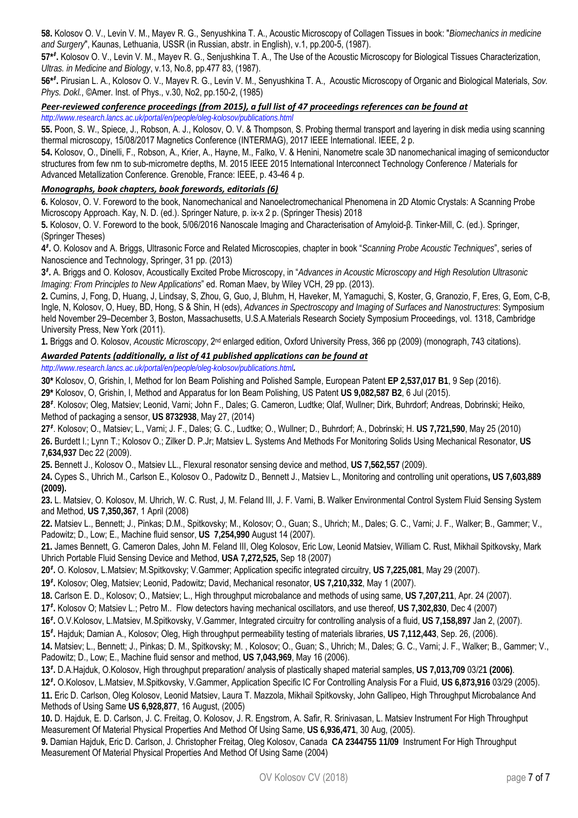**58.** Kolosov O. V., Levin V. M., Mayev R. G., Senyushkina T. A., Acoustic Microscopy of Collagen Tissues in book: "*Biomechanics in medicine and Surgery*", Kaunas, Lethuania, USSR (in Russian, abstr. in English), v.1, pp.200-5, (1987).

**57\****‡* **.** Kolosov O. V., Levin V. M., Mayev R. G., Senjushkina T. A., The Use of the Acoustic Microscopy for Biological Tissues Characterization, *Ultras. in Medicine and Biology*, v.13, No.8, pp.477 83, (1987).

**56\****‡* **.** Pirusian L. A., Kolosov O. V., Mayev R. G., Levin V. M., Senyushkina T. A., Acoustic Microscopy of Organic and Biological Materials, *Sov. Phys. Dokl.*, ©Amer. Inst. of Phys., v.30, No2, pp.150-2, (1985)

# *Peer‐reviewed conference proceedings (from 2015), a full list of 47 proceedings references can be found at*

*http://www.research.lancs.ac.uk/portal/en/people/oleg-kolosov/publications.html* 

**55.** Poon, S. W., Spiece, J., Robson, A. J., Kolosov, O. V. & Thompson, S. Probing thermal transport and layering in disk media using scanning thermal microscopy, 15/08/2017 Magnetics Conference (INTERMAG), 2017 IEEE International. IEEE, 2 p.

**54.** Kolosov, O., Dinelli, F., Robson, A., Krier, A., Hayne, M., Falko, V. & Henini, Nanometre scale 3D nanomechanical imaging of semiconductor structures from few nm to sub-micrometre depths, M. 2015 IEEE 2015 International Interconnect Technology Conference / Materials for Advanced Metallization Conference. Grenoble, France: IEEE, p. 43-46 4 p.

## *Monographs, book chapters, book forewords, editorials (6)*

**6.** Kolosov, O. V. Foreword to the book, Nanomechanical and Nanoelectromechanical Phenomena in 2D Atomic Crystals: A Scanning Probe Microscopy Approach. Kay, N. D. (ed.). Springer Nature, p. ix-x 2 p. (Springer Thesis) 2018

**5.** Kolosov, O. V. Foreword to the book, 5/06/2016 Nanoscale Imaging and Characterisation of Amyloid-β. Tinker-Mill, C. (ed.). Springer, (Springer Theses)

**4***‡* **.** O. Kolosov and A. Briggs, Ultrasonic Force and Related Microscopies, chapter in book "*Scanning Probe Acoustic Techniques*", series of Nanoscience and Technology, Springer, 31 pp. (2013)

**3***‡* **.** A. Briggs and O. Kolosov, Acoustically Excited Probe Microscopy, in "*Advances in Acoustic Microscopy and High Resolution Ultrasonic Imaging: From Principles to New Applications*" ed. Roman Maev, by Wiley VCH, 29 pp. (2013).

**2.** Cumins, J, Fong, D, Huang, J, Lindsay, S, Zhou, G, Guo, J, Bluhm, H, Haveker, M, Yamaguchi, S, Koster, G, Granozio, F, Eres, G, Eom, C-B, Ingle, N, Kolosov, O, Huey, BD, Hong, S & Shin, H (eds), *Advances in Spectroscopy and Imaging of Surfaces and Nanostructures*: Symposium held November 29–December 3, Boston, Massachusetts, U.S.A.Materials Research Society Symposium Proceedings, vol. 1318, Cambridge University Press, New York (2011).

**1.** Briggs and O. Kolosov, *Acoustic Microscopy*, 2nd enlarged edition, Oxford University Press, 366 pp (2009) (monograph, 743 citations).

## *Awarded Patents (additionally, a list of 41 published applications can be found at*

*http://www.research.lancs.ac.uk/portal/en/people/oleg-kolosov/publications.html.* 

**30\*** Kolosov, O, Grishin, I, Method for Ion Beam Polishing and Polished Sample, European Patent **EP 2,537,017 B1**, 9 Sep (2016).

**29\*** Kolosov, O, Grishin, I, Method and Apparatus for Ion Beam Polishing, US Patent **US 9,082,587 B2**, 6 Jul (2015).

**28***‡* . Kolosov; Oleg, Matsiev; Leonid, Varni; John F., Dales; G. Cameron, Ludtke; Olaf, Wullner; Dirk, Buhrdorf; Andreas, Dobrinski; Heiko, Method of packaging a sensor, **US 8732938**, May 27, (2014)

**27***‡* . Kolosov; O., Matsiev; L., Varni; J. F., Dales; G. C., Ludtke; O., Wullner; D., Buhrdorf; A., Dobrinski; H. **US 7,721,590**, May 25 (2010) **26.** Burdett I.; Lynn T.; Kolosov O.; Zilker D. P.Jr; Matsiev L. Systems And Methods For Monitoring Solids Using Mechanical Resonator, **US 7,634,937** Dec 22 (2009).

**25.** Bennett J., Kolosov O., Matsiev LL., Flexural resonator sensing device and method, **US 7,562,557** (2009).

**24.** Cypes S., Uhrich M., Carlson E., Kolosov O., Padowitz D., Bennett J., Matsiev L., Monitoring and controlling unit operations**, US 7,603,889 (2009).** 

**23.** L. Matsiev, O. Kolosov, M. Uhrich, W. C. Rust, J, M. Feland III, J. F. Varni, B. Walker Environmental Control System Fluid Sensing System and Method, **US 7,350,367**, 1 April (2008)

**22.** Matsiev L., Bennett; J., Pinkas; D.M., Spitkovsky; M., Kolosov; O., Guan; S., Uhrich; M., Dales; G. C., Varni; J. F., Walker; B., Gammer; V., Padowitz; D., Low; E., Machine fluid sensor, **US 7,254,990** August 14 (2007).

**21.** James Bennett, G. Cameron Dales, John M. Feland III, Oleg Kolosov, Eric Low, Leonid Matsiev, William C. Rust, Mikhail Spitkovsky, Mark Uhrich Portable Fluid Sensing Device and Method, **USA 7,272,525,** Sep 18 (2007)

**20***‡* **.** O. Kolosov, L.Matsiev; M.Spitkovsky; V.Gammer; Application specific integrated circuitry, **US 7,225,081**, May 29 (2007).

**19***‡* **.** Kolosov; Oleg, Matsiev; Leonid, Padowitz; David, Mechanical resonator, **US 7,210,332**, May 1 (2007).

**18.** Carlson E. D., Kolosov; O., Matsiev; L., High throughput microbalance and methods of using same, **US 7,207,211**, Apr. 24 (2007).

**17***‡* **.** Kolosov O; Matsiev L.; Petro M.. Flow detectors having mechanical oscillators, and use thereof, **US 7,302,830**, Dec 4 (2007)

**16***‡* **.** O.V.Kolosov, L.Matsiev, M.Spitkovsky, V.Gammer, Integrated circuitry for controlling analysis of a fluid, **US 7,158,897** Jan 2, (2007).

**15***‡* **.** Hajduk; Damian A., Kolosov; Oleg, High throughput permeability testing of materials libraries, **US 7,112,443**, Sep. 26, (2006).

**14.** Matsiev; L., Bennett; J., Pinkas; D. M., Spitkovsky; M. , Kolosov; O., Guan; S., Uhrich; M., Dales; G. C., Varni; J. F., Walker; B., Gammer; V., Padowitz; D., Low; E., Machine fluid sensor and method, **US 7,043,969**, May 16 (2006).

**13***‡* **.** D.A.Hajduk, O.Kolosov, High throughput preparation/ analysis of plastically shaped material samples, **US 7,013,709** 03/2**1 (2006)**.

**12***‡* **.** O.Kolosov, L.Matsiev, M.Spitkovsky, V.Gammer, Application Specific IC For Controlling Analysis For a Fluid, **US 6,873,916** 03/29 (2005).

**11.** Eric D. Carlson, Oleg Kolosov, Leonid Matsiev, Laura T. Mazzola, Mikhail Spitkovsky, John Gallipeo, High Throughput Microbalance And Methods of Using Same **US 6,928,877**, 16 August, (2005)

**10.** D. Hajduk, E. D. Carlson, J. C. Freitag, O. Kolosov, J. R. Engstrom, A. Safir, R. Srinivasan, L. Matsiev Instrument For High Throughput Measurement Of Material Physical Properties And Method Of Using Same, **US 6,936,471**, 30 Aug, (2005).

**9.** Damian Hajduk, Eric D. Carlson, J. Christopher Freitag, Oleg Kolosov, Canada **CA 2344755 11/09** Instrument For High Throughput Measurement Of Material Physical Properties And Method Of Using Same (2004)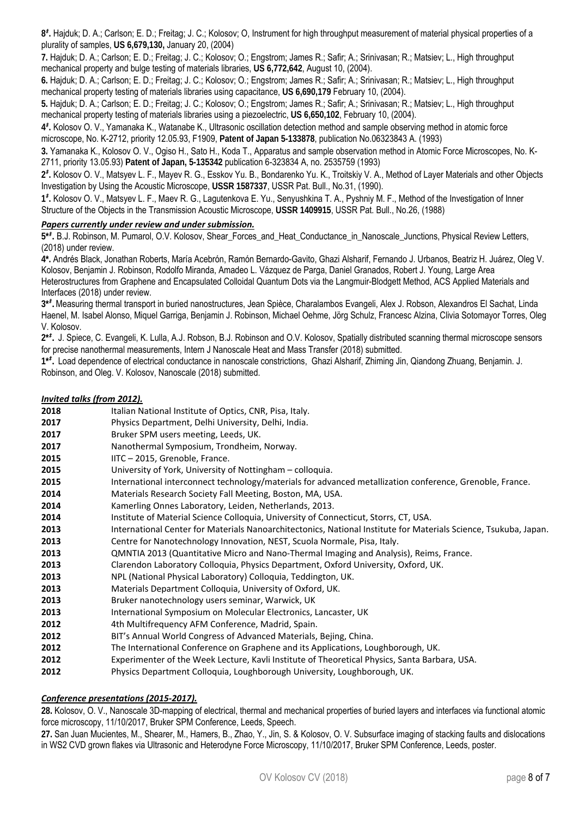**8***‡* **.** Hajduk; D. A.; Carlson; E. D.; Freitag; J. C.; Kolosov; O, Instrument for high throughput measurement of material physical properties of a plurality of samples, **US 6,679,130,** January 20, (2004)

**7.** Hajduk; D. A.; Carlson; E. D.; Freitag; J. C.; Kolosov; O.; Engstrom; James R.; Safir; A.; Srinivasan; R.; Matsiev; L., High throughput mechanical property and bulge testing of materials libraries, **US 6,772,642**, August 10, (2004).

**6.** Hajduk; D. A.; Carlson; E. D.; Freitag; J. C.; Kolosov; O.; Engstrom; James R.; Safir; A.; Srinivasan; R.; Matsiev; L., High throughput mechanical property testing of materials libraries using capacitance, **US 6,690,179** February 10, (2004).

**5.** Hajduk; D. A.; Carlson; E. D.; Freitag; J. C.; Kolosov; O.; Engstrom; James R.; Safir; A.; Srinivasan; R.; Matsiev; L., High throughput mechanical property testing of materials libraries using a piezoelectric, **US 6,650,102**, February 10, (2004).

**4***‡* **.** Kolosov O. V., Yamanaka K., Watanabe K., Ultrasonic oscillation detection method and sample observing method in atomic force microscope, No. K-2712, priority 12.05.93, F1909, **Patent of Japan 5-133878**, publication No.06323843 A. (1993)

**3.** Yamanaka K., Kolosov O. V., Ogiso H., Sato H., Koda T., Apparatus and sample observation method in Atomic Force Microscopes, No. K-2711, priority 13.05.93) **Patent of Japan, 5-135342** publication 6-323834 A, no. 2535759 (1993)

**2***‡* **.** Kolosov O. V., Matsyev L. F., Mayev R. G., Esskov Yu. B., Bondarenko Yu. K., Troitskiy V. A., Method of Layer Materials and other Objects Investigation by Using the Acoustic Microscope, **USSR 1587337**, USSR Pat. Bull., No.31, (1990).

**1***‡* **.** Kolosov O. V., Matsyev L. F., Maev R. G., Lagutenkova E. Yu., Senyushkina T. A., Pyshniy M. F., Method of the Investigation of Inner Structure of the Objects in the Transmission Acoustic Microscope, **USSR 1409915**, USSR Pat. Bull., No.26, (1988)

## *Papers currently under review and under submission.*

**5\****‡* **.** B.J. Robinson, M. Pumarol, O.V. Kolosov, Shear\_Forces\_and\_Heat\_Conductance\_in\_Nanoscale\_Junctions, Physical Review Letters, (2018) under review.

**4\*.** Andrés Black, Jonathan Roberts, María Acebrón, Ramón Bernardo-Gavito, Ghazi Alsharif, Fernando J. Urbanos, Beatriz H. Juárez, Oleg V. Kolosov, Benjamin J. Robinson, Rodolfo Miranda, Amadeo L. Vázquez de Parga, Daniel Granados, Robert J. Young, Large Area Heterostructures from Graphene and Encapsulated Colloidal Quantum Dots via the Langmuir-Blodgett Method, ACS Applied Materials and Interfaces (2018) under review.

**3\****‡* **.**Measuring thermal transport in buried nanostructures, Jean Spièce, Charalambos Evangeli, Alex J. Robson, Alexandros El Sachat, Linda Haenel, M. Isabel Alonso, Miquel Garriga, Benjamin J. Robinson, Michael Oehme, Jörg Schulz, Francesc Alzina, Clivia Sotomayor Torres, Oleg V. Kolosov.

**2\****‡* **.** J. Spiece, C. Evangeli, K. Lulla, A.J. Robson, B.J. Robinson and O.V. Kolosov, Spatially distributed scanning thermal microscope sensors for precise nanothermal measurements, Intern J Nanoscale Heat and Mass Transfer (2018) submitted.

**1\****‡* **.** Load dependence of electrical conductance in nanoscale constrictions, Ghazi Alsharif, Zhiming Jin, Qiandong Zhuang, Benjamin. J. Robinson, and Oleg. V. Kolosov, Nanoscale (2018) submitted.

## *Invited talks (from 2012).*

 Italian National Institute of Optics, CNR, Pisa, Italy. **Physics Department, Delhi University, Delhi, India. Bruker SPM users meeting, Leeds, UK. Nanothermal Symposium, Trondheim, Norway. IITC – 2015, Grenoble, France.**  University of York, University of Nottingham – colloquia. International interconnect technology/materials for advanced metallization conference, Grenoble, France. 2014 Materials Research Society Fall Meeting, Boston, MA, USA. Kamerling Onnes Laboratory, Leiden, Netherlands, 2013.  **Laurent Institute of Material Science Colloquia, University of Connecticut, Storrs, CT, USA.**  International Center for Materials Nanoarchitectonics, National Institute for Materials Science, Tsukuba, Japan. Centre for Nanotechnology Innovation, NEST, Scuola Normale, Pisa, Italy. QMNTIA 2013 (Quantitative Micro and Nano-Thermal Imaging and Analysis), Reims, France. Clarendon Laboratory Colloquia, Physics Department, Oxford University, Oxford, UK. NPL (National Physical Laboratory) Colloquia, Teddington, UK. Materials Department Colloquia, University of Oxford, UK. Bruker nanotechnology users seminar, Warwick, UK<br>**2013** International Symposium on Molecular Electronics, I International Symposium on Molecular Electronics, Lancaster, UK 4th Multifrequency AFM Conference, Madrid, Spain. **BIT's Annual World Congress of Advanced Materials, Bejing, China.**  The International Conference on Graphene and its Applications, Loughborough, UK. Experimenter of the Week Lecture, Kavli Institute of Theoretical Physics, Santa Barbara, USA. Physics Department Colloquia, Loughborough University, Loughborough, UK.

## *Conference presentations (2015‐2017).*

**28.** Kolosov, O. V., Nanoscale 3D-mapping of electrical, thermal and mechanical properties of buried layers and interfaces via functional atomic force microscopy, 11/10/2017, Bruker SPM Conference, Leeds, Speech.

**27.** San Juan Mucientes, M., Shearer, M., Hamers, B., Zhao, Y., Jin, S. & Kolosov, O. V. Subsurface imaging of stacking faults and dislocations in WS2 CVD grown flakes via Ultrasonic and Heterodyne Force Microscopy, 11/10/2017, Bruker SPM Conference, Leeds, poster.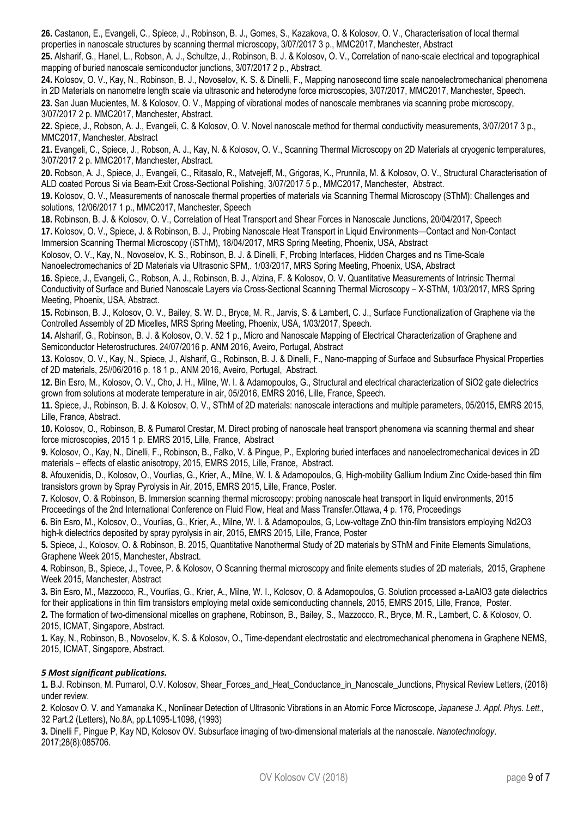**26.** Castanon, E., Evangeli, C., Spiece, J., Robinson, B. J., Gomes, S., Kazakova, O. & Kolosov, O. V., Characterisation of local thermal properties in nanoscale structures by scanning thermal microscopy, 3/07/2017 3 p., MMC2017, Manchester, Abstract

**25.** Alsharif, G., Hanel, L., Robson, A. J., Schultze, J., Robinson, B. J. & Kolosov, O. V., Correlation of nano-scale electrical and topographical mapping of buried nanoscale semiconductor junctions, 3/07/2017 2 p., Abstract.

**24.** Kolosov, O. V., Kay, N., Robinson, B. J., Novoselov, K. S. & Dinelli, F., Mapping nanosecond time scale nanoelectromechanical phenomena in 2D Materials on nanometre length scale via ultrasonic and heterodyne force microscopies, 3/07/2017, MMC2017, Manchester, Speech. **23.** San Juan Mucientes, M. & Kolosov, O. V., Mapping of vibrational modes of nanoscale membranes via scanning probe microscopy, 3/07/2017 2 p. MMC2017, Manchester, Abstract.

**22.** Spiece, J., Robson, A. J., Evangeli, C. & Kolosov, O. V. Novel nanoscale method for thermal conductivity measurements, 3/07/2017 3 p., MMC2017, Manchester, Abstract

**21.** Evangeli, C., Spiece, J., Robson, A. J., Kay, N. & Kolosov, O. V., Scanning Thermal Microscopy on 2D Materials at cryogenic temperatures, 3/07/2017 2 p. MMC2017, Manchester, Abstract.

**20.** Robson, A. J., Spiece, J., Evangeli, C., Ritasalo, R., Matvejeff, M., Grigoras, K., Prunnila, M. & Kolosov, O. V., Structural Characterisation of ALD coated Porous Si via Beam-Exit Cross-Sectional Polishing, 3/07/2017 5 p., MMC2017, Manchester, Abstract.

**19.** Kolosov, O. V., Measurements of nanoscale thermal properties of materials via Scanning Thermal Microscopy (SThM): Challenges and solutions, 12/06/2017 1 p., MMC2017, Manchester, Speech

**18.** Robinson, B. J. & Kolosov, O. V., Correlation of Heat Transport and Shear Forces in Nanoscale Junctions, 20/04/2017, Speech

**17.** Kolosov, O. V., Spiece, J. & Robinson, B. J., Probing Nanoscale Heat Transport in Liquid Environments—Contact and Non-Contact Immersion Scanning Thermal Microscopy (iSThM), 18/04/2017, MRS Spring Meeting, Phoenix, USA, Abstract

Kolosov, O. V., Kay, N., Novoselov, K. S., Robinson, B. J. & Dinelli, F, Probing Interfaces, Hidden Charges and ns Time-Scale Nanoelectromechanics of 2D Materials via Ultrasonic SPM,. 1/03/2017, MRS Spring Meeting, Phoenix, USA, Abstract

**16.** Spiece, J., Evangeli, C., Robson, A. J., Robinson, B. J., Alzina, F. & Kolosov, O. V. Quantitative Measurements of Intrinsic Thermal Conductivity of Surface and Buried Nanoscale Layers via Cross-Sectional Scanning Thermal Microscopy – X-SThM, 1/03/2017, MRS Spring Meeting, Phoenix, USA, Abstract.

**15.** Robinson, B. J., Kolosov, O. V., Bailey, S. W. D., Bryce, M. R., Jarvis, S. & Lambert, C. J., Surface Functionalization of Graphene via the Controlled Assembly of 2D Micelles, MRS Spring Meeting, Phoenix, USA, 1/03/2017, Speech.

**14.** Alsharif, G., Robinson, B. J. & Kolosov, O. V. 52 1 p., Micro and Nanoscale Mapping of Electrical Characterization of Graphene and Semiconductor Heterostructures. 24/07/2016 p. ANM 2016, Aveiro, Portugal, Abstract

**13.** Kolosov, O. V., Kay, N., Spiece, J., Alsharif, G., Robinson, B. J. & Dinelli, F., Nano-mapping of Surface and Subsurface Physical Properties of 2D materials, 25//06/2016 p. 18 1 p., ANM 2016, Aveiro, Portugal, Abstract.

**12.** Bin Esro, M., Kolosov, O. V., Cho, J. H., Milne, W. I. & Adamopoulos, G., Structural and electrical characterization of SiO2 gate dielectrics grown from solutions at moderate temperature in air, 05/2016, EMRS 2016, Lille, France, Speech.

**11.** Spiece, J., Robinson, B. J. & Kolosov, O. V., SThM of 2D materials: nanoscale interactions and multiple parameters, 05/2015, EMRS 2015, Lille, France, Abstract.

**10.** Kolosov, O., Robinson, B. & Pumarol Crestar, M. Direct probing of nanoscale heat transport phenomena via scanning thermal and shear force microscopies, 2015 1 p. EMRS 2015, Lille, France, Abstract

**9.** Kolosov, O., Kay, N., Dinelli, F., Robinson, B., Falko, V. & Pingue, P., Exploring buried interfaces and nanoelectromechanical devices in 2D materials – effects of elastic anisotropy, 2015, EMRS 2015, Lille, France, Abstract.

**8.** Afouxenidis, D., Kolosov, O., Vourlias, G., Krier, A., Milne, W. I. & Adamopoulos, G, High-mobility Gallium Indium Zinc Oxide-based thin film transistors grown by Spray Pyrolysis in Air, 2015, EMRS 2015, Lille, France, Poster.

**7.** Kolosov, O. & Robinson, B. Immersion scanning thermal microscopy: probing nanoscale heat transport in liquid environments, 2015 Proceedings of the 2nd International Conference on Fluid Flow, Heat and Mass Transfer.Ottawa, 4 p. 176, Proceedings

**6.** Bin Esro, M., Kolosov, O., Vourlias, G., Krier, A., Milne, W. I. & Adamopoulos, G, Low-voltage ZnO thin-film transistors employing Nd2O3 high-k dielectrics deposited by spray pyrolysis in air, 2015, EMRS 2015, Lille, France, Poster

**5.** Spiece, J., Kolosov, O. & Robinson, B. 2015, Quantitative Nanothermal Study of 2D materials by SThM and Finite Elements Simulations, Graphene Week 2015, Manchester, Abstract.

**4.** Robinson, B., Spiece, J., Tovee, P. & Kolosov, O Scanning thermal microscopy and finite elements studies of 2D materials, 2015, Graphene Week 2015, Manchester, Abstract

**3.** Bin Esro, M., Mazzocco, R., Vourlias, G., Krier, A., Milne, W. I., Kolosov, O. & Adamopoulos, G. Solution processed a-LaAlO3 gate dielectrics for their applications in thin film transistors employing metal oxide semiconducting channels, 2015, EMRS 2015, Lille, France, Poster.

**2.** The formation of two-dimensional micelles on graphene, Robinson, B., Bailey, S., Mazzocco, R., Bryce, M. R., Lambert, C. & Kolosov, O. 2015, ICMAT, Singapore, Abstract.

**1.** Kay, N., Robinson, B., Novoselov, K. S. & Kolosov, O., Time-dependant electrostatic and electromechanical phenomena in Graphene NEMS, 2015, ICMAT, Singapore, Abstract.

## *5 Most significant publications.*

**1.** B.J. Robinson, M. Pumarol, O.V. Kolosov, Shear\_Forces\_and\_Heat\_Conductance\_in\_Nanoscale\_Junctions, Physical Review Letters, (2018) under review.

**2**. Kolosov O. V. and Yamanaka K., Nonlinear Detection of Ultrasonic Vibrations in an Atomic Force Microscope, *Japanese J. Appl. Phys. Lett.,*  32 Part.2 (Letters), No.8A, pp.L1095-L1098, (1993)

**3.** Dinelli F, Pingue P, Kay ND, Kolosov OV. Subsurface imaging of two-dimensional materials at the nanoscale. *Nanotechnology*. 2017;28(8):085706.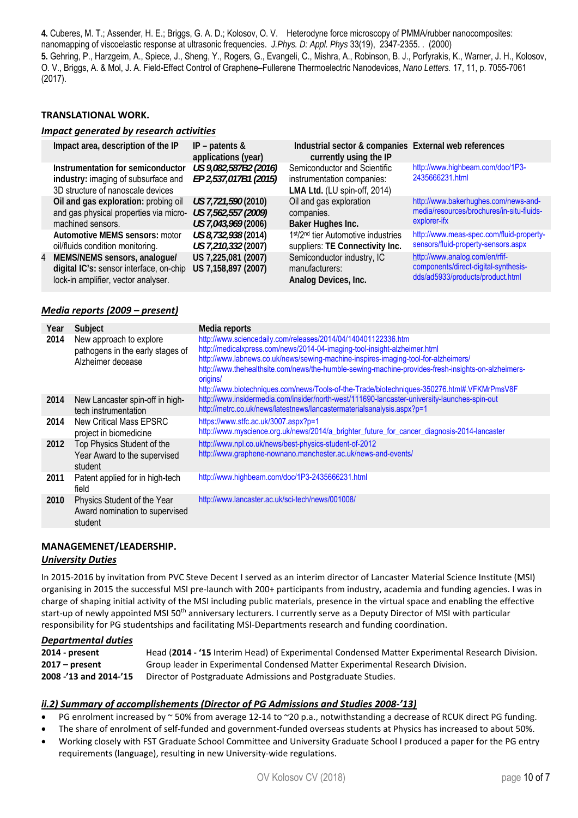**4.** Cuberes, M. T.; Assender, H. E.; Briggs, G. A. D.; Kolosov, O. V. Heterodyne force microscopy of PMMA/rubber nanocomposites: nanomapping of viscoelastic response at ultrasonic frequencies. *J.Phys. D: Appl. Phys* 33(19), 2347-2355. . (2000) **5.** Gehring, P., Harzgeim, A., Spiece, J., Sheng, Y., Rogers, G., Evangeli, C., Mishra, A., Robinson, B. J., Porfyrakis, K., Warner, J. H., Kolosov, O. V., Briggs, A. & Mol, J. A. Field-Effect Control of Graphene–Fullerene Thermoelectric Nanodevices, *Nano Letters.* 17, 11, p. 7055-7061 (2017).

## **TRANSLATIONAL WORK.**

## *Impact generated by research activities*

| Impact area, description of the IP                                                                               | IP – patents $\&$<br>applications (year)                          | Industrial sector & companies External web references<br>currently using the IP            |                                                                                                            |
|------------------------------------------------------------------------------------------------------------------|-------------------------------------------------------------------|--------------------------------------------------------------------------------------------|------------------------------------------------------------------------------------------------------------|
| Instrumentation for semiconductor<br>industry: imaging of subsurface and<br>3D structure of nanoscale devices    | US 9,082,587B2 (2016)<br>EP 2,537,017B1 (2015)                    | Semiconductor and Scientific<br>instrumentation companies:<br>LMA Ltd. (LU spin-off, 2014) | http://www.highbeam.com/doc/1P3-<br>2435666231.html                                                        |
| Oil and gas exploration: probing oil<br>and gas physical properties via micro-<br>machined sensors.              | US 7,721,590 (2010)<br>US 7,562,557 (2009)<br>US 7,043,969 (2006) | Oil and gas exploration<br>companies.<br>Baker Hughes Inc.                                 | http://www.bakerhughes.com/news-and-<br>media/resources/brochures/in-situ-fluids-<br>explorer-ifx          |
| Automotive MEMS sensors: motor<br>oil/fluids condition monitoring.                                               | US 8,732,938 (2014)<br>US 7,210,332 (2007)                        | 1st/2 <sup>nd</sup> tier Automotive industries<br>suppliers: TE Connectivity Inc.          | http://www.meas-spec.com/fluid-property-<br>sensors/fluid-property-sensors.aspx                            |
| 4 MEMS/NEMS sensors, analoque/<br>digital IC's: sensor interface, on-chip<br>lock-in amplifier, vector analyser. | US 7,225,081 (2007)<br>US 7,158,897 (2007)                        | Semiconductor industry, IC<br>manufacturers:<br>Analog Devices, Inc.                       | http://www.analog.com/en/rfif-<br>components/direct-digital-synthesis-<br>dds/ad5933/products/product.html |

## *Media reports (2009 – present)*

| Year | Subject                                                                          | Media reports                                                                                                                                                                                                                                                                                                                                                                                                                                     |
|------|----------------------------------------------------------------------------------|---------------------------------------------------------------------------------------------------------------------------------------------------------------------------------------------------------------------------------------------------------------------------------------------------------------------------------------------------------------------------------------------------------------------------------------------------|
| 2014 | New approach to explore<br>pathogens in the early stages of<br>Alzheimer decease | http://www.sciencedaily.com/releases/2014/04/140401122336.htm<br>http://medicalxpress.com/news/2014-04-imaging-tool-insight-alzheimer.html<br>http://www.labnews.co.uk/news/sewing-machine-inspires-imaging-tool-for-alzheimers/<br>http://www.thehealthsite.com/news/the-humble-sewing-machine-provides-fresh-insights-on-alzheimers-<br>origins/<br>http://www.biotechniques.com/news/Tools-of-the-Trade/biotechniques-350276.html#.VFKMrPmsV8F |
| 2014 | New Lancaster spin-off in high-<br>tech instrumentation                          | http://www.insidermedia.com/insider/north-west/111690-lancaster-university-launches-spin-out<br>http://metrc.co.uk/news/latestnews/lancastermaterialsanalysis.aspx?p=1                                                                                                                                                                                                                                                                            |
| 2014 | New Critical Mass EPSRC<br>project in biomedicine                                | https://www.stfc.ac.uk/3007.aspx?p=1<br>http://www.myscience.org.uk/news/2014/a_brighter_future_for_cancer_diagnosis-2014-lancaster                                                                                                                                                                                                                                                                                                               |
| 2012 | Top Physics Student of the<br>Year Award to the supervised<br>student            | http://www.npl.co.uk/news/best-physics-student-of-2012<br>http://www.graphene-nownano.manchester.ac.uk/news-and-events/                                                                                                                                                                                                                                                                                                                           |
| 2011 | Patent applied for in high-tech<br>field                                         | http://www.highbeam.com/doc/1P3-2435666231.html                                                                                                                                                                                                                                                                                                                                                                                                   |
| 2010 | Physics Student of the Year<br>Award nomination to supervised<br>student         | http://www.lancaster.ac.uk/sci-tech/news/001008/                                                                                                                                                                                                                                                                                                                                                                                                  |

# **MANAGEMENET/LEADERSHIP.**

## *University Duties*

In 2015-2016 by invitation from PVC Steve Decent I served as an interim director of Lancaster Material Science Institute (MSI) organising in 2015 the successful MSI pre‐launch with 200+ participants from industry, academia and funding agencies. I was in charge of shaping initial activity of the MSI including public materials, presence in the virtual space and enabling the effective start-up of newly appointed MSI 50<sup>th</sup> anniversary lecturers. I currently serve as a Deputy Director of MSI with particular responsibility for PG studentships and facilitating MSI‐Departments research and funding coordination.

#### *Departmental duties*

| 2014 - present         | Head (2014 - '15 Interim Head) of Experimental Condensed Matter Experimental Research Division. |
|------------------------|-------------------------------------------------------------------------------------------------|
| $2017 - present$       | Group leader in Experimental Condensed Matter Experimental Research Division.                   |
| 2008 -'13 and 2014-'15 | Director of Postgraduate Admissions and Postgraduate Studies.                                   |

## *ii.2) Summary of accomplishements (Director of PG Admissions and Studies 2008‐'13)*

- PG enrolment increased by  $\sim$  50% from average 12-14 to  $\sim$  20 p.a., notwithstanding a decrease of RCUK direct PG funding.
- The share of enrolment of self-funded and government-funded overseas students at Physics has increased to about 50%.
- Working closely with FST Graduate School Committee and University Graduate School I produced a paper for the PG entry requirements (language), resulting in new University‐wide regulations.